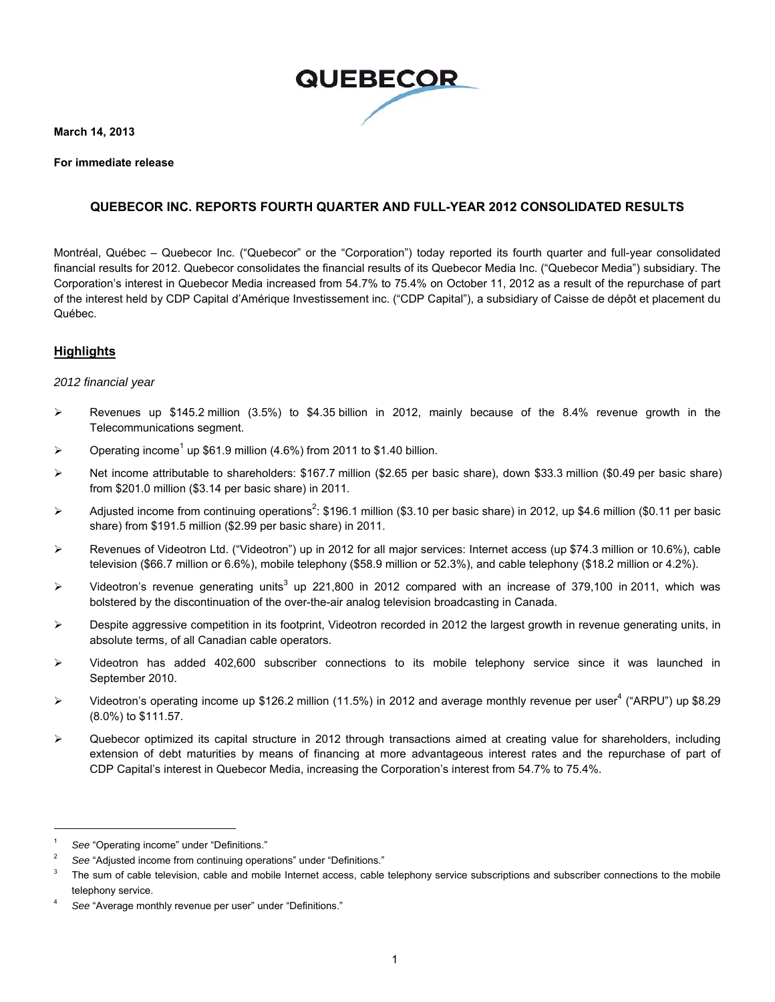

**March 14, 2013** 

#### **For immediate release**

#### **QUEBECOR INC. REPORTS FOURTH QUARTER AND FULL-YEAR 2012 CONSOLIDATED RESULTS**

Montréal, Québec – Quebecor Inc. ("Quebecor" or the "Corporation") today reported its fourth quarter and full-year consolidated financial results for 2012. Quebecor consolidates the financial results of its Quebecor Media Inc. ("Quebecor Media") subsidiary. The Corporation's interest in Quebecor Media increased from 54.7% to 75.4% on October 11, 2012 as a result of the repurchase of part of the interest held by CDP Capital d'Amérique Investissement inc. ("CDP Capital"), a subsidiary of Caisse de dépôt et placement du Québec.

#### **Highlights**

#### *2012 financial year*

- Eversum Revenues up \$145.2 million (3.5%) to \$4.35 billion in 2012, mainly because of the 8.4% revenue growth in the Telecommunications segment.
- $\triangleright$  Operating income<sup>1</sup> up \$61.9 million (4.6%) from 2011 to \$1.40 billion.
- ¾ Net income attributable to shareholders: \$167.7 million (\$2.65 per basic share), down \$33.3 million (\$0.49 per basic share) from \$201.0 million (\$3.14 per basic share) in 2011.
- Adjusted income from continuing operations<sup>2</sup>: \$196.1 million (\$3.10 per basic share) in 2012, up \$4.6 million (\$0.11 per basic share) from \$191.5 million (\$2.99 per basic share) in 2011.
- ¾ Revenues of Videotron Ltd. ("Videotron") up in 2012 for all major services: Internet access (up \$74.3 million or 10.6%), cable television (\$66.7 million or 6.6%), mobile telephony (\$58.9 million or 52.3%), and cable telephony (\$18.2 million or 4.2%).
- $\triangleright$  Videotron's revenue generating units<sup>3</sup> up 221,800 in 2012 compared with an increase of 379,100 in 2011, which was bolstered by the discontinuation of the over-the-air analog television broadcasting in Canada.
- ¾ Despite aggressive competition in its footprint, Videotron recorded in 2012 the largest growth in revenue generating units, in absolute terms, of all Canadian cable operators.
- ¾ Videotron has added 402,600 subscriber connections to its mobile telephony service since it was launched in September 2010.
- $\triangleright$  Videotron's operating income up \$126.2 million (11.5%) in 2012 and average monthly revenue per user<sup>4</sup> ("ARPU") up \$8.29 (8.0%) to \$111.57.
- $\triangleright$  Quebecor optimized its capital structure in 2012 through transactions aimed at creating value for shareholders, including extension of debt maturities by means of financing at more advantageous interest rates and the repurchase of part of CDP Capital's interest in Quebecor Media, increasing the Corporation's interest from 54.7% to 75.4%.

 $\overline{a}$ 

<sup>1</sup> See "Operating income" under "Definitions."<br>2 *See* "Adjusted income from continuing operations" under "Definitions."

<sup>3</sup> The sum of cable television, cable and mobile Internet access, cable telephony service subscriptions and subscriber connections to the mobile telephony service.

*See* "Average monthly revenue per user" under "Definitions."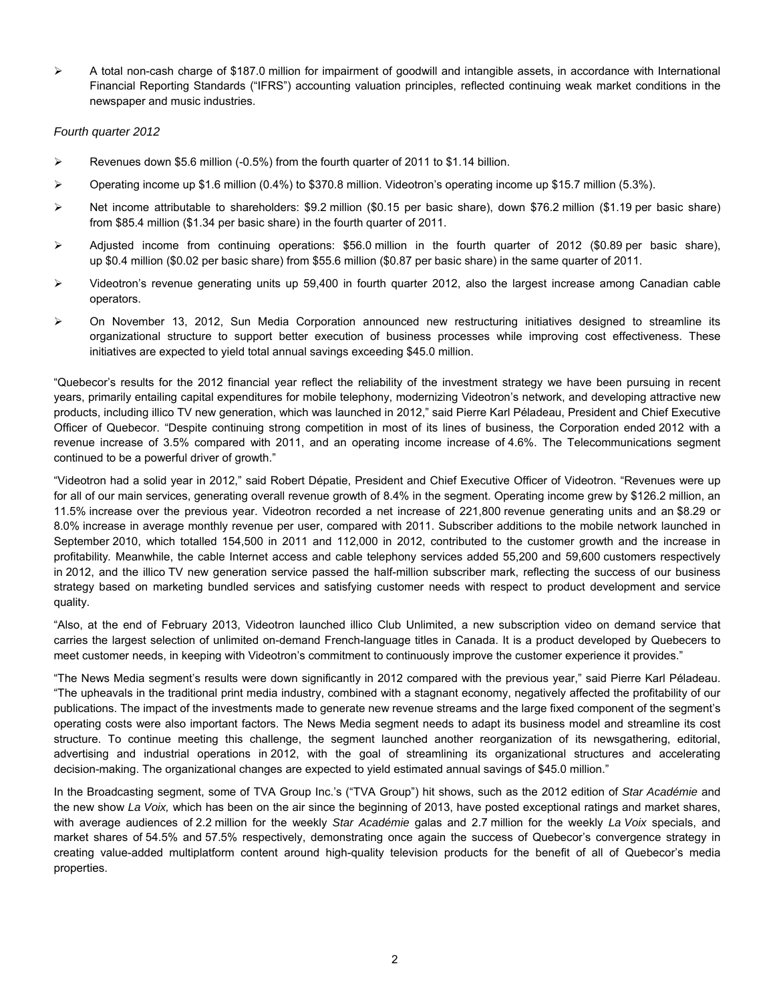$\triangleright$  A total non-cash charge of \$187.0 million for impairment of goodwill and intangible assets, in accordance with International Financial Reporting Standards ("IFRS") accounting valuation principles, reflected continuing weak market conditions in the newspaper and music industries.

#### *Fourth quarter 2012*

- $\triangleright$  Revenues down \$5.6 million (-0.5%) from the fourth quarter of 2011 to \$1.14 billion.
- $\triangleright$  Operating income up \$1.6 million (0.4%) to \$370.8 million. Videotron's operating income up \$15.7 million (5.3%).
- ¾ Net income attributable to shareholders: \$9.2 million (\$0.15 per basic share), down \$76.2 million (\$1.19 per basic share) from \$85.4 million (\$1.34 per basic share) in the fourth quarter of 2011.
- $\triangleright$  Adjusted income from continuing operations: \$56.0 million in the fourth quarter of 2012 (\$0.89 per basic share), up \$0.4 million (\$0.02 per basic share) from \$55.6 million (\$0.87 per basic share) in the same quarter of 2011.
- ¾ Videotron's revenue generating units up 59,400 in fourth quarter 2012, also the largest increase among Canadian cable operators.
- $\triangleright$  On November 13, 2012, Sun Media Corporation announced new restructuring initiatives designed to streamline its organizational structure to support better execution of business processes while improving cost effectiveness. These initiatives are expected to yield total annual savings exceeding \$45.0 million.

"Quebecor's results for the 2012 financial year reflect the reliability of the investment strategy we have been pursuing in recent years, primarily entailing capital expenditures for mobile telephony, modernizing Videotron's network, and developing attractive new products, including illico TV new generation, which was launched in 2012," said Pierre Karl Péladeau, President and Chief Executive Officer of Quebecor. "Despite continuing strong competition in most of its lines of business, the Corporation ended 2012 with a revenue increase of 3.5% compared with 2011, and an operating income increase of 4.6%. The Telecommunications segment continued to be a powerful driver of growth."

"Videotron had a solid year in 2012," said Robert Dépatie, President and Chief Executive Officer of Videotron. "Revenues were up for all of our main services, generating overall revenue growth of 8.4% in the segment. Operating income grew by \$126.2 million, an 11.5% increase over the previous year. Videotron recorded a net increase of 221,800 revenue generating units and an \$8.29 or 8.0% increase in average monthly revenue per user, compared with 2011. Subscriber additions to the mobile network launched in September 2010, which totalled 154,500 in 2011 and 112,000 in 2012, contributed to the customer growth and the increase in profitability*.* Meanwhile, the cable Internet access and cable telephony services added 55,200 and 59,600 customers respectively in 2012, and the illico TV new generation service passed the half-million subscriber mark, reflecting the success of our business strategy based on marketing bundled services and satisfying customer needs with respect to product development and service quality.

"Also, at the end of February 2013, Videotron launched illico Club Unlimited, a new subscription video on demand service that carries the largest selection of unlimited on-demand French-language titles in Canada. It is a product developed by Quebecers to meet customer needs, in keeping with Videotron's commitment to continuously improve the customer experience it provides."

"The News Media segment's results were down significantly in 2012 compared with the previous year," said Pierre Karl Péladeau. "The upheavals in the traditional print media industry, combined with a stagnant economy, negatively affected the profitability of our publications. The impact of the investments made to generate new revenue streams and the large fixed component of the segment's operating costs were also important factors. The News Media segment needs to adapt its business model and streamline its cost structure. To continue meeting this challenge, the segment launched another reorganization of its newsgathering, editorial, advertising and industrial operations in 2012, with the goal of streamlining its organizational structures and accelerating decision-making. The organizational changes are expected to yield estimated annual savings of \$45.0 million."

In the Broadcasting segment, some of TVA Group Inc.'s ("TVA Group") hit shows, such as the 2012 edition of *Star Académie* and the new show *La Voix,* which has been on the air since the beginning of 2013, have posted exceptional ratings and market shares, with average audiences of 2.2 million for the weekly *Star Académie* galas and 2.7 million for the weekly *La Voix* specials, and market shares of 54.5% and 57.5% respectively, demonstrating once again the success of Quebecor's convergence strategy in creating value-added multiplatform content around high-quality television products for the benefit of all of Quebecor's media properties.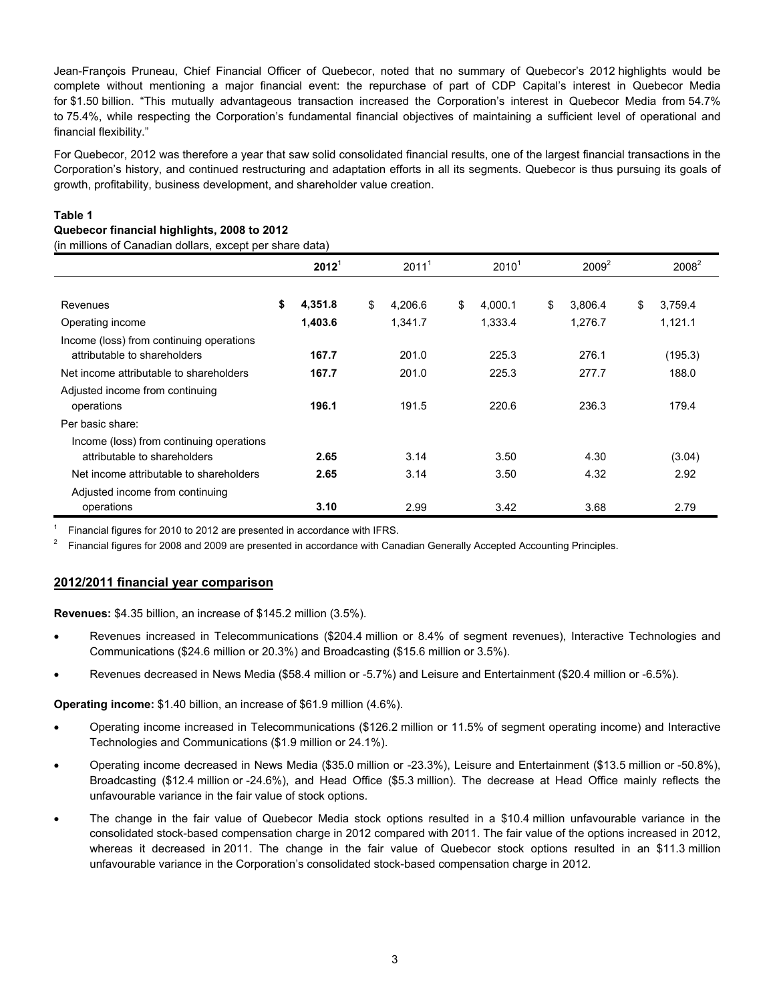Jean-François Pruneau, Chief Financial Officer of Quebecor, noted that no summary of Quebecor's 2012 highlights would be complete without mentioning a major financial event: the repurchase of part of CDP Capital's interest in Quebecor Media for \$1.50 billion. "This mutually advantageous transaction increased the Corporation's interest in Quebecor Media from 54.7% to 75.4%, while respecting the Corporation's fundamental financial objectives of maintaining a sufficient level of operational and financial flexibility."

For Quebecor, 2012 was therefore a year that saw solid consolidated financial results, one of the largest financial transactions in the Corporation's history, and continued restructuring and adaptation efforts in all its segments. Quebecor is thus pursuing its goals of growth, profitability, business development, and shareholder value creation.

#### **Table 1**

#### **Quebecor financial highlights, 2008 to 2012**

(in millions of Canadian dollars, except per share data)

|                                          | 2012 <sup>1</sup> | 2011 <sup>1</sup> | $2010^{1}$    | $2009^2$      | $2008^2$      |
|------------------------------------------|-------------------|-------------------|---------------|---------------|---------------|
|                                          |                   |                   |               |               |               |
| Revenues                                 | \$<br>4,351.8     | \$<br>4,206.6     | \$<br>4,000.1 | \$<br>3,806.4 | \$<br>3,759.4 |
| Operating income                         | 1,403.6           | 1,341.7           | 1,333.4       | 1,276.7       | 1,121.1       |
| Income (loss) from continuing operations |                   |                   |               |               |               |
| attributable to shareholders             | 167.7             | 201.0             | 225.3         | 276.1         | (195.3)       |
| Net income attributable to shareholders  | 167.7             | 201.0             | 225.3         | 277.7         | 188.0         |
| Adjusted income from continuing          |                   |                   |               |               |               |
| operations                               | 196.1             | 191.5             | 220.6         | 236.3         | 179.4         |
| Per basic share:                         |                   |                   |               |               |               |
| Income (loss) from continuing operations |                   |                   |               |               |               |
| attributable to shareholders             | 2.65              | 3.14              | 3.50          | 4.30          | (3.04)        |
| Net income attributable to shareholders  | 2.65              | 3.14              | 3.50          | 4.32          | 2.92          |
| Adjusted income from continuing          |                   |                   |               |               |               |
| operations                               | 3.10              | 2.99              | 3.42          | 3.68          | 2.79          |

1 Financial figures for 2010 to 2012 are presented in accordance with IFRS.

2 Financial figures for 2008 and 2009 are presented in accordance with Canadian Generally Accepted Accounting Principles.

#### **2012/2011 financial year comparison**

**Revenues:** \$4.35 billion, an increase of \$145.2 million (3.5%).

- Revenues increased in Telecommunications (\$204.4 million or 8.4% of segment revenues), Interactive Technologies and Communications (\$24.6 million or 20.3%) and Broadcasting (\$15.6 million or 3.5%).
- Revenues decreased in News Media (\$58.4 million or -5.7%) and Leisure and Entertainment (\$20.4 million or -6.5%).

**Operating income:** \$1.40 billion, an increase of \$61.9 million (4.6%).

- Operating income increased in Telecommunications (\$126.2 million or 11.5% of segment operating income) and Interactive Technologies and Communications (\$1.9 million or 24.1%).
- Operating income decreased in News Media (\$35.0 million or -23.3%), Leisure and Entertainment (\$13.5 million or -50.8%), Broadcasting (\$12.4 million or -24.6%), and Head Office (\$5.3 million). The decrease at Head Office mainly reflects the unfavourable variance in the fair value of stock options.
- The change in the fair value of Quebecor Media stock options resulted in a \$10.4 million unfavourable variance in the consolidated stock-based compensation charge in 2012 compared with 2011. The fair value of the options increased in 2012, whereas it decreased in 2011. The change in the fair value of Quebecor stock options resulted in an \$11.3 million unfavourable variance in the Corporation's consolidated stock-based compensation charge in 2012.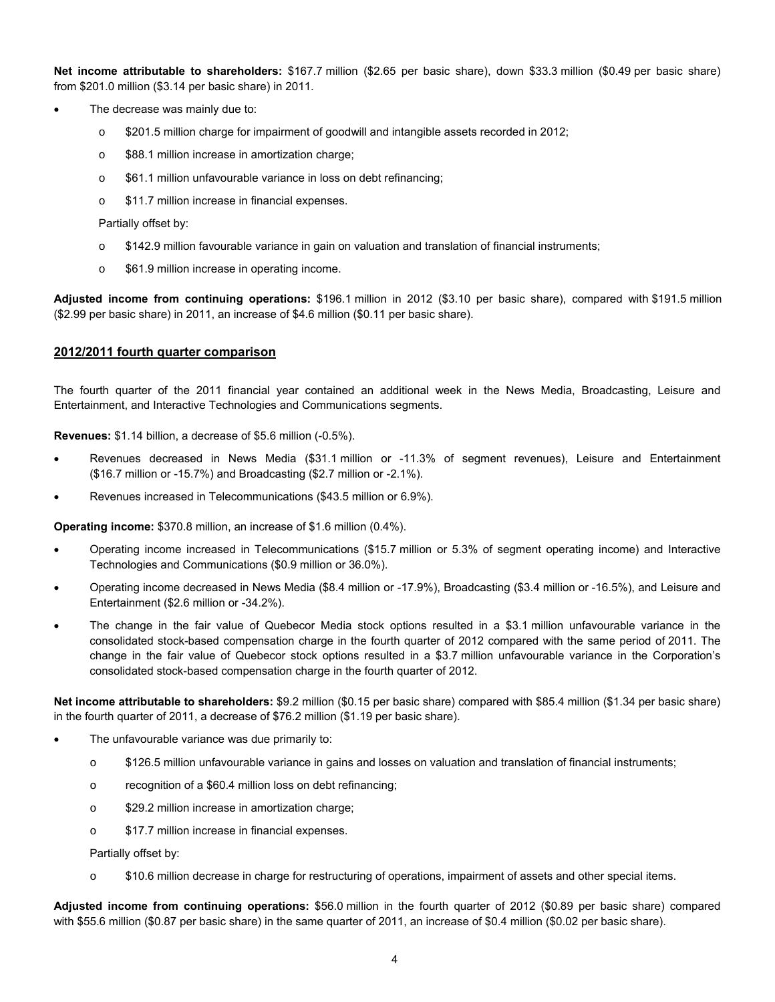**Net income attributable to shareholders:** \$167.7 million (\$2.65 per basic share), down \$33.3 million (\$0.49 per basic share) from \$201.0 million (\$3.14 per basic share) in 2011.

- The decrease was mainly due to:
	- o \$201.5 million charge for impairment of goodwill and intangible assets recorded in 2012;
	- o \$88.1 million increase in amortization charge;
	- o \$61.1 million unfavourable variance in loss on debt refinancing;
	- o \$11.7 million increase in financial expenses.

Partially offset by:

- o \$142.9 million favourable variance in gain on valuation and translation of financial instruments;
- o \$61.9 million increase in operating income.

**Adjusted income from continuing operations:** \$196.1 million in 2012 (\$3.10 per basic share), compared with \$191.5 million (\$2.99 per basic share) in 2011, an increase of \$4.6 million (\$0.11 per basic share).

#### **2012/2011 fourth quarter comparison**

The fourth quarter of the 2011 financial year contained an additional week in the News Media, Broadcasting, Leisure and Entertainment, and Interactive Technologies and Communications segments.

**Revenues:** \$1.14 billion, a decrease of \$5.6 million (-0.5%).

- Revenues decreased in News Media (\$31.1 million or -11.3% of segment revenues), Leisure and Entertainment (\$16.7 million or -15.7%) and Broadcasting (\$2.7 million or -2.1%).
- Revenues increased in Telecommunications (\$43.5 million or 6.9%).

**Operating income:** \$370.8 million, an increase of \$1.6 million (0.4%).

- Operating income increased in Telecommunications (\$15.7 million or 5.3% of segment operating income) and Interactive Technologies and Communications (\$0.9 million or 36.0%).
- Operating income decreased in News Media (\$8.4 million or -17.9%), Broadcasting (\$3.4 million or -16.5%), and Leisure and Entertainment (\$2.6 million or -34.2%).
- The change in the fair value of Quebecor Media stock options resulted in a \$3.1 million unfavourable variance in the consolidated stock-based compensation charge in the fourth quarter of 2012 compared with the same period of 2011. The change in the fair value of Quebecor stock options resulted in a \$3.7 million unfavourable variance in the Corporation's consolidated stock-based compensation charge in the fourth quarter of 2012.

**Net income attributable to shareholders:** \$9.2 million (\$0.15 per basic share) compared with \$85.4 million (\$1.34 per basic share) in the fourth quarter of 2011, a decrease of \$76.2 million (\$1.19 per basic share).

- The unfavourable variance was due primarily to:
	- o \$126.5 million unfavourable variance in gains and losses on valuation and translation of financial instruments;
	- o recognition of a \$60.4 million loss on debt refinancing;
	- o \$29.2 million increase in amortization charge;
	- o \$17.7 million increase in financial expenses.

Partially offset by:

o \$10.6 million decrease in charge for restructuring of operations, impairment of assets and other special items.

**Adjusted income from continuing operations:** \$56.0 million in the fourth quarter of 2012 (\$0.89 per basic share) compared with \$55.6 million (\$0.87 per basic share) in the same quarter of 2011, an increase of \$0.4 million (\$0.02 per basic share).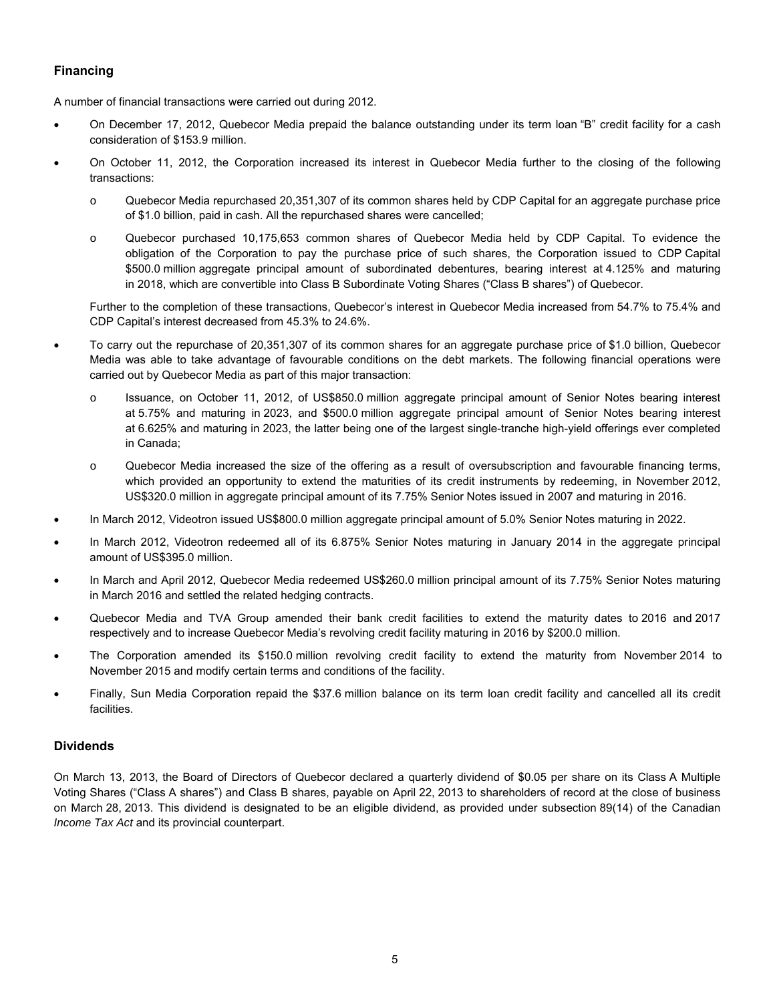#### **Financing**

A number of financial transactions were carried out during 2012.

- On December 17, 2012, Quebecor Media prepaid the balance outstanding under its term loan "B" credit facility for a cash consideration of \$153.9 million.
- On October 11, 2012, the Corporation increased its interest in Quebecor Media further to the closing of the following transactions:
	- o Quebecor Media repurchased 20,351,307 of its common shares held by CDP Capital for an aggregate purchase price of \$1.0 billion, paid in cash. All the repurchased shares were cancelled;
	- o Quebecor purchased 10,175,653 common shares of Quebecor Media held by CDP Capital. To evidence the obligation of the Corporation to pay the purchase price of such shares, the Corporation issued to CDP Capital \$500.0 million aggregate principal amount of subordinated debentures, bearing interest at 4.125% and maturing in 2018, which are convertible into Class B Subordinate Voting Shares ("Class B shares") of Quebecor.

Further to the completion of these transactions, Quebecor's interest in Quebecor Media increased from 54.7% to 75.4% and CDP Capital's interest decreased from 45.3% to 24.6%.

- To carry out the repurchase of 20,351,307 of its common shares for an aggregate purchase price of \$1.0 billion, Quebecor Media was able to take advantage of favourable conditions on the debt markets. The following financial operations were carried out by Quebecor Media as part of this major transaction:
	- o Issuance, on October 11, 2012, of US\$850.0 million aggregate principal amount of Senior Notes bearing interest at 5.75% and maturing in 2023, and \$500.0 million aggregate principal amount of Senior Notes bearing interest at 6.625% and maturing in 2023, the latter being one of the largest single-tranche high-yield offerings ever completed in Canada;
	- o Quebecor Media increased the size of the offering as a result of oversubscription and favourable financing terms, which provided an opportunity to extend the maturities of its credit instruments by redeeming, in November 2012, US\$320.0 million in aggregate principal amount of its 7.75% Senior Notes issued in 2007 and maturing in 2016.
- In March 2012, Videotron issued US\$800.0 million aggregate principal amount of 5.0% Senior Notes maturing in 2022.
- In March 2012, Videotron redeemed all of its 6.875% Senior Notes maturing in January 2014 in the aggregate principal amount of US\$395.0 million.
- In March and April 2012, Quebecor Media redeemed US\$260.0 million principal amount of its 7.75% Senior Notes maturing in March 2016 and settled the related hedging contracts.
- Quebecor Media and TVA Group amended their bank credit facilities to extend the maturity dates to 2016 and 2017 respectively and to increase Quebecor Media's revolving credit facility maturing in 2016 by \$200.0 million.
- The Corporation amended its \$150.0 million revolving credit facility to extend the maturity from November 2014 to November 2015 and modify certain terms and conditions of the facility.
- Finally, Sun Media Corporation repaid the \$37.6 million balance on its term loan credit facility and cancelled all its credit facilities.

#### **Dividends**

On March 13, 2013, the Board of Directors of Quebecor declared a quarterly dividend of \$0.05 per share on its Class A Multiple Voting Shares ("Class A shares") and Class B shares, payable on April 22, 2013 to shareholders of record at the close of business on March 28, 2013. This dividend is designated to be an eligible dividend, as provided under subsection 89(14) of the Canadian *Income Tax Act* and its provincial counterpart.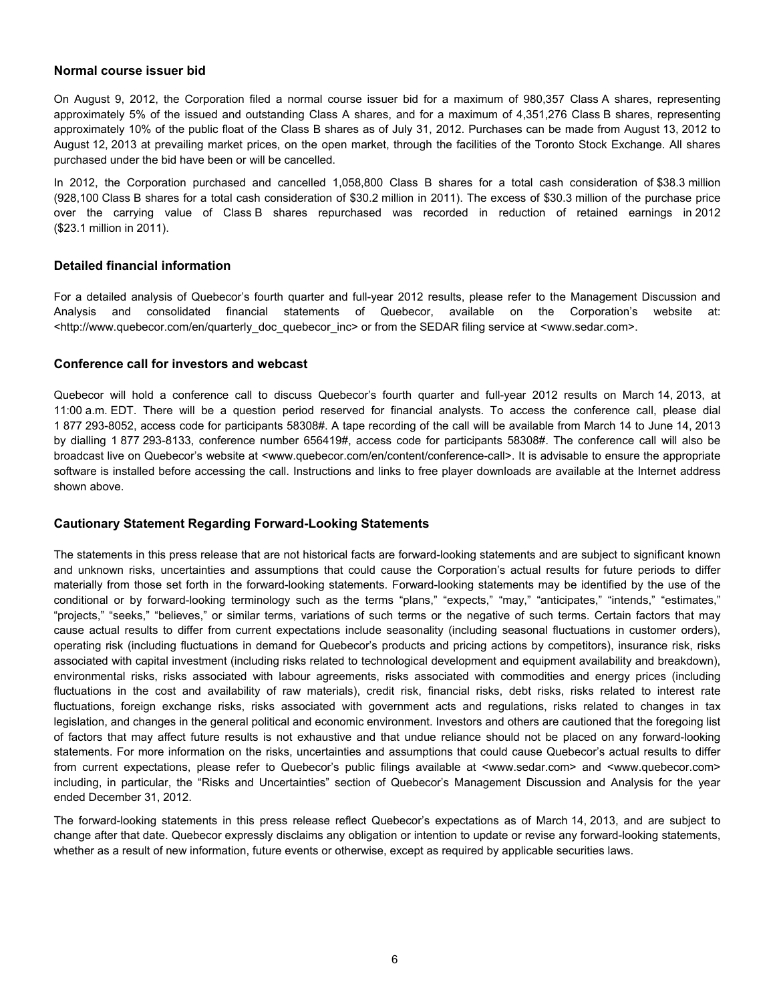#### **Normal course issuer bid**

On August 9, 2012, the Corporation filed a normal course issuer bid for a maximum of 980,357 Class A shares, representing approximately 5% of the issued and outstanding Class A shares, and for a maximum of 4,351,276 Class B shares, representing approximately 10% of the public float of the Class B shares as of July 31, 2012. Purchases can be made from August 13, 2012 to August 12, 2013 at prevailing market prices, on the open market, through the facilities of the Toronto Stock Exchange. All shares purchased under the bid have been or will be cancelled.

In 2012, the Corporation purchased and cancelled 1,058,800 Class B shares for a total cash consideration of \$38.3 million (928,100 Class B shares for a total cash consideration of \$30.2 million in 2011). The excess of \$30.3 million of the purchase price over the carrying value of Class B shares repurchased was recorded in reduction of retained earnings in 2012 (\$23.1 million in 2011).

#### **Detailed financial information**

For a detailed analysis of Quebecor's fourth quarter and full-year 2012 results, please refer to the Management Discussion and Analysis and consolidated financial statements of Quebecor, available on the Corporation's website at: <http://www.quebecor.com/en/quarterly\_doc\_quebecor\_inc> or from the SEDAR filing service at <www.sedar.com>.

#### **Conference call for investors and webcast**

Quebecor will hold a conference call to discuss Quebecor's fourth quarter and full-year 2012 results on March 14, 2013, at 11:00 a.m. EDT. There will be a question period reserved for financial analysts. To access the conference call, please dial 1 877 293-8052, access code for participants 58308#. A tape recording of the call will be available from March 14 to June 14, 2013 by dialling 1 877 293-8133, conference number 656419#, access code for participants 58308#. The conference call will also be broadcast live on Quebecor's website at <www.quebecor.com/en/content/conference-call>. It is advisable to ensure the appropriate software is installed before accessing the call. Instructions and links to free player downloads are available at the Internet address shown above.

#### **Cautionary Statement Regarding Forward-Looking Statements**

The statements in this press release that are not historical facts are forward-looking statements and are subject to significant known and unknown risks, uncertainties and assumptions that could cause the Corporation's actual results for future periods to differ materially from those set forth in the forward-looking statements. Forward-looking statements may be identified by the use of the conditional or by forward-looking terminology such as the terms "plans," "expects," "may," "anticipates," "intends," "estimates," "projects," "seeks," "believes," or similar terms, variations of such terms or the negative of such terms. Certain factors that may cause actual results to differ from current expectations include seasonality (including seasonal fluctuations in customer orders), operating risk (including fluctuations in demand for Quebecor's products and pricing actions by competitors), insurance risk, risks associated with capital investment (including risks related to technological development and equipment availability and breakdown), environmental risks, risks associated with labour agreements, risks associated with commodities and energy prices (including fluctuations in the cost and availability of raw materials), credit risk, financial risks, debt risks, risks related to interest rate fluctuations, foreign exchange risks, risks associated with government acts and regulations, risks related to changes in tax legislation, and changes in the general political and economic environment. Investors and others are cautioned that the foregoing list of factors that may affect future results is not exhaustive and that undue reliance should not be placed on any forward-looking statements. For more information on the risks, uncertainties and assumptions that could cause Quebecor's actual results to differ from current expectations, please refer to Quebecor's public filings available at <www.sedar.com> and <www.quebecor.com> including, in particular, the "Risks and Uncertainties" section of Quebecor's Management Discussion and Analysis for the year ended December 31, 2012.

The forward-looking statements in this press release reflect Quebecor's expectations as of March 14, 2013, and are subject to change after that date. Quebecor expressly disclaims any obligation or intention to update or revise any forward-looking statements, whether as a result of new information, future events or otherwise, except as required by applicable securities laws.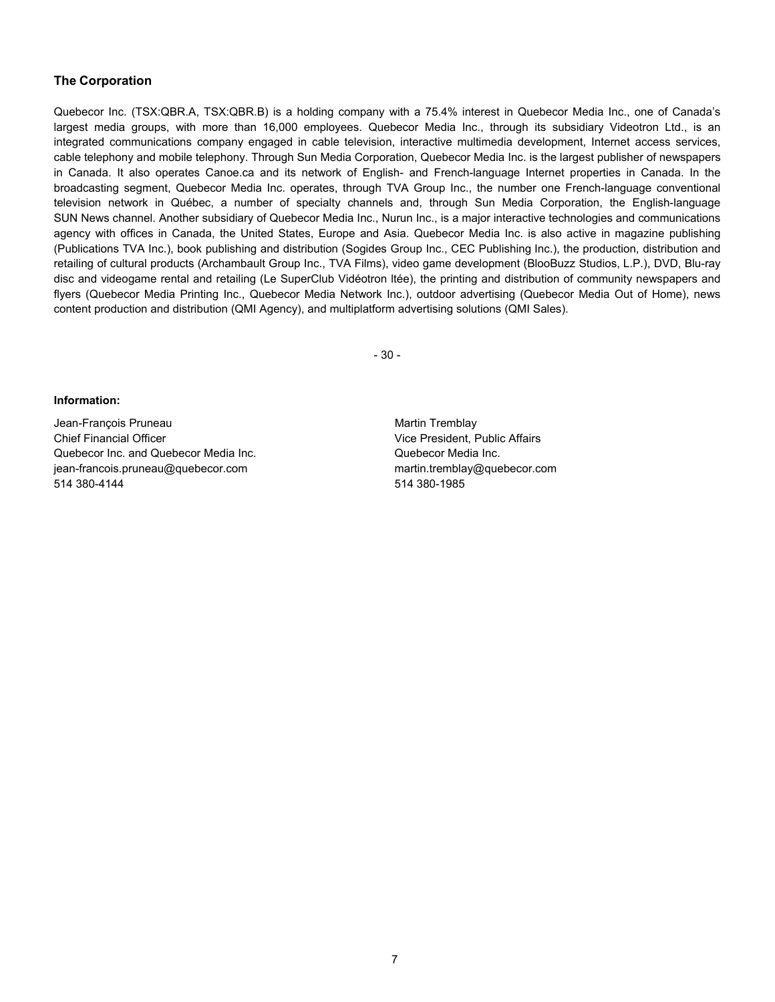#### **The Corporation**

Quebecor Inc. (TSX:QBR.A, TSX:QBR.B) is a holding company with a 75.4% interest in Quebecor Media Inc., one of Canada's largest media groups, with more than 16,000 employees. Quebecor Media Inc., through its subsidiary Videotron Ltd., is an integrated communications company engaged in cable television, interactive multimedia development, Internet access services, cable telephony and mobile telephony. Through Sun Media Corporation, Quebecor Media Inc. is the largest publisher of newspapers in Canada. It also operates Canoe.ca and its network of English- and French-language Internet properties in Canada. In the broadcasting segment, Quebecor Media Inc. operates, through TVA Group Inc., the number one French-language conventional television network in Québec, a number of specialty channels and, through Sun Media Corporation, the English-language SUN News channel. Another subsidiary of Quebecor Media Inc., Nurun Inc., is a major interactive technologies and communications agency with offices in Canada, the United States, Europe and Asia. Quebecor Media Inc. is also active in magazine publishing (Publications TVA Inc.), book publishing and distribution (Sogides Group Inc., CEC Publishing Inc.), the production, distribution and retailing of cultural products (Archambault Group Inc., TVA Films), video game development (BlooBuzz Studios, L.P.), DVD, Blu-ray disc and videogame rental and retailing (Le SuperClub Vidéotron ltée), the printing and distribution of community newspapers and flyers (Quebecor Media Printing Inc., Quebecor Media Network Inc.), outdoor advertising (Quebecor Media Out of Home), news content production and distribution (QMI Agency), and multiplatform advertising solutions (QMI Sales).

- 30 -

#### **Information:**

Jean-François Pruneau **Martin Tremblay** Martin Tremblay Chief Financial Officer **Vice President, Public Affairs** Vice President, Public Affairs Quebecor Inc. and Quebecor Media Inc. Quebecor Media Inc. jean-francois.pruneau@quebecor.com martin.tremblay@quebecor.com 514 380-4144 514 380-1985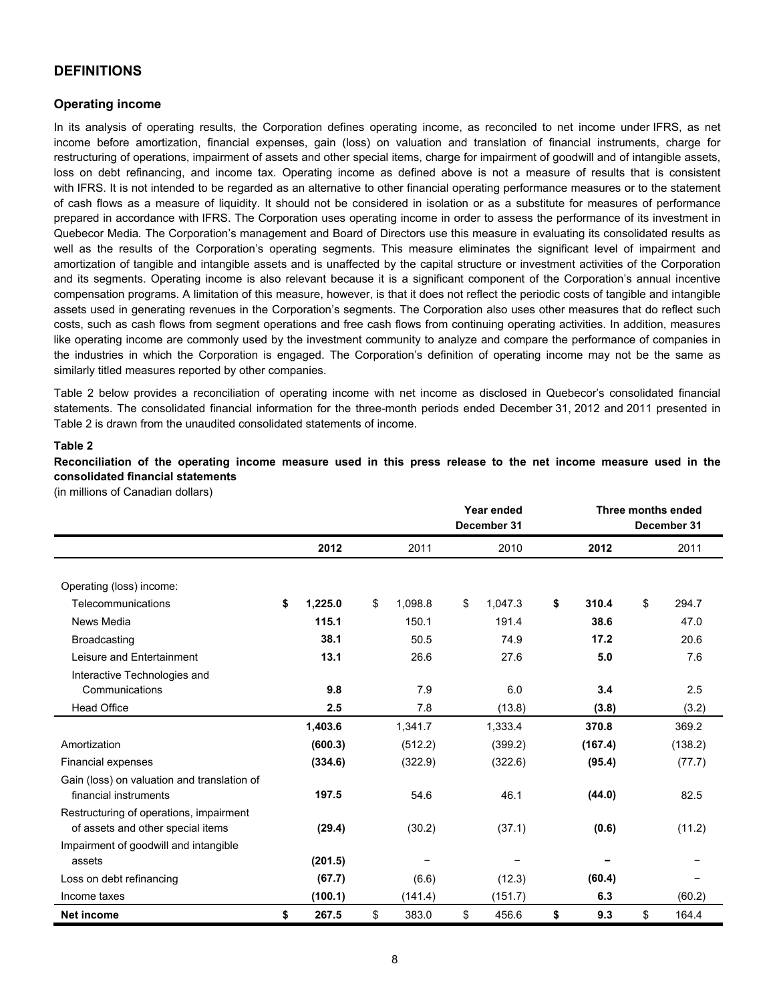#### **DEFINITIONS**

#### **Operating income**

In its analysis of operating results, the Corporation defines operating income, as reconciled to net income under IFRS, as net income before amortization, financial expenses, gain (loss) on valuation and translation of financial instruments, charge for restructuring of operations, impairment of assets and other special items, charge for impairment of goodwill and of intangible assets, loss on debt refinancing, and income tax. Operating income as defined above is not a measure of results that is consistent with IFRS. It is not intended to be regarded as an alternative to other financial operating performance measures or to the statement of cash flows as a measure of liquidity. It should not be considered in isolation or as a substitute for measures of performance prepared in accordance with IFRS. The Corporation uses operating income in order to assess the performance of its investment in Quebecor Media*.* The Corporation's management and Board of Directors use this measure in evaluating its consolidated results as well as the results of the Corporation's operating segments. This measure eliminates the significant level of impairment and amortization of tangible and intangible assets and is unaffected by the capital structure or investment activities of the Corporation and its segments. Operating income is also relevant because it is a significant component of the Corporation's annual incentive compensation programs. A limitation of this measure, however, is that it does not reflect the periodic costs of tangible and intangible assets used in generating revenues in the Corporation's segments. The Corporation also uses other measures that do reflect such costs, such as cash flows from segment operations and free cash flows from continuing operating activities. In addition, measures like operating income are commonly used by the investment community to analyze and compare the performance of companies in the industries in which the Corporation is engaged. The Corporation's definition of operating income may not be the same as similarly titled measures reported by other companies.

Table 2 below provides a reconciliation of operating income with net income as disclosed in Quebecor's consolidated financial statements. The consolidated financial information for the three-month periods ended December 31, 2012 and 2011 presented in Table 2 is drawn from the unaudited consolidated statements of income.

#### **Table 2**

**Reconciliation of the operating income measure used in this press release to the net income measure used in the consolidated financial statements** 

(in millions of Canadian dollars)

|                                             |               |               | Year ended<br>December 31 |             | Three months ended<br>December 31 |
|---------------------------------------------|---------------|---------------|---------------------------|-------------|-----------------------------------|
|                                             | 2012          | 2011          | 2010                      | 2012        | 2011                              |
|                                             |               |               |                           |             |                                   |
| Operating (loss) income:                    |               |               |                           |             |                                   |
| Telecommunications                          | \$<br>1,225.0 | \$<br>1,098.8 | \$<br>1,047.3             | \$<br>310.4 | \$<br>294.7                       |
| News Media                                  | 115.1         | 150.1         | 191.4                     | 38.6        | 47.0                              |
| <b>Broadcasting</b>                         | 38.1          | 50.5          | 74.9                      | 17.2        | 20.6                              |
| Leisure and Entertainment                   | 13.1          | 26.6          | 27.6                      | 5.0         | 7.6                               |
| Interactive Technologies and                |               |               |                           |             |                                   |
| Communications                              | 9.8           | 7.9           | 6.0                       | 3.4         | 2.5                               |
| <b>Head Office</b>                          | 2.5           | 7.8           | (13.8)                    | (3.8)       | (3.2)                             |
|                                             | 1,403.6       | 1,341.7       | 1,333.4                   | 370.8       | 369.2                             |
| Amortization                                | (600.3)       | (512.2)       | (399.2)                   | (167.4)     | (138.2)                           |
| Financial expenses                          | (334.6)       | (322.9)       | (322.6)                   | (95.4)      | (77.7)                            |
| Gain (loss) on valuation and translation of |               |               |                           |             |                                   |
| financial instruments                       | 197.5         | 54.6          | 46.1                      | (44.0)      | 82.5                              |
| Restructuring of operations, impairment     |               |               |                           |             |                                   |
| of assets and other special items           | (29.4)        | (30.2)        | (37.1)                    | (0.6)       | (11.2)                            |
| Impairment of goodwill and intangible       |               |               |                           |             |                                   |
| assets                                      | (201.5)       |               |                           |             |                                   |
| Loss on debt refinancing                    | (67.7)        | (6.6)         | (12.3)                    | (60.4)      |                                   |
| Income taxes                                | (100.1)       | (141.4)       | (151.7)                   | 6.3         | (60.2)                            |
| <b>Net income</b>                           | \$<br>267.5   | \$<br>383.0   | \$<br>456.6               | \$<br>9.3   | \$<br>164.4                       |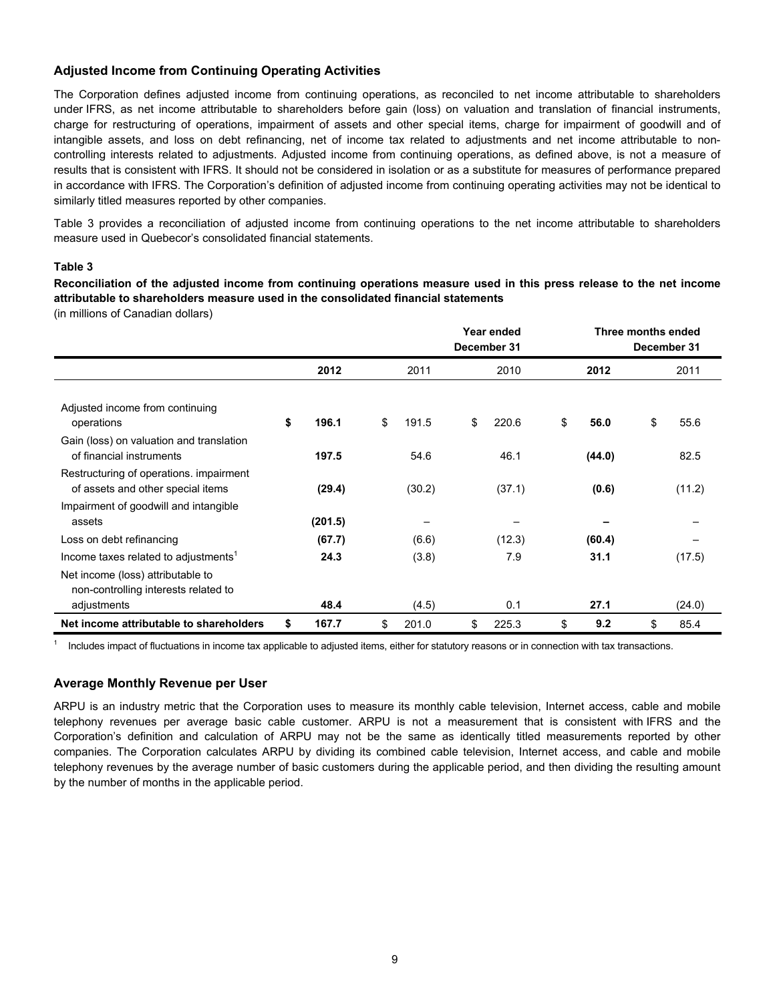#### **Adjusted Income from Continuing Operating Activities**

The Corporation defines adjusted income from continuing operations, as reconciled to net income attributable to shareholders under IFRS, as net income attributable to shareholders before gain (loss) on valuation and translation of financial instruments, charge for restructuring of operations, impairment of assets and other special items, charge for impairment of goodwill and of intangible assets, and loss on debt refinancing, net of income tax related to adjustments and net income attributable to noncontrolling interests related to adjustments. Adjusted income from continuing operations, as defined above, is not a measure of results that is consistent with IFRS. It should not be considered in isolation or as a substitute for measures of performance prepared in accordance with IFRS. The Corporation's definition of adjusted income from continuing operating activities may not be identical to similarly titled measures reported by other companies.

Table 3 provides a reconciliation of adjusted income from continuing operations to the net income attributable to shareholders measure used in Quebecor's consolidated financial statements.

#### **Table 3**

**Reconciliation of the adjusted income from continuing operations measure used in this press release to the net income attributable to shareholders measure used in the consolidated financial statements** 

(in millions of Canadian dollars)

|                                                                                          |             |             | Year ended<br>December 31 |            | Three months ended<br>December 31 |        |
|------------------------------------------------------------------------------------------|-------------|-------------|---------------------------|------------|-----------------------------------|--------|
|                                                                                          | 2012        | 2011        | 2010                      | 2012       |                                   | 2011   |
| Adjusted income from continuing<br>operations                                            | \$<br>196.1 | \$<br>191.5 | \$<br>220.6               | \$<br>56.0 | \$                                | 55.6   |
| Gain (loss) on valuation and translation<br>of financial instruments                     | 197.5       | 54.6        | 46.1                      | (44.0)     |                                   | 82.5   |
| Restructuring of operations. impairment<br>of assets and other special items             | (29.4)      | (30.2)      | (37.1)                    | (0.6)      |                                   | (11.2) |
| Impairment of goodwill and intangible<br>assets                                          | (201.5)     |             |                           |            |                                   |        |
| Loss on debt refinancing                                                                 | (67.7)      | (6.6)       | (12.3)                    | (60.4)     |                                   |        |
| Income taxes related to adjustments <sup>1</sup>                                         | 24.3        | (3.8)       | 7.9                       | 31.1       |                                   | (17.5) |
| Net income (loss) attributable to<br>non-controlling interests related to<br>adjustments | 48.4        | (4.5)       | 0.1                       | 27.1       |                                   | (24.0) |
| Net income attributable to shareholders                                                  | \$<br>167.7 | \$<br>201.0 | \$<br>225.3               | \$<br>9.2  | \$                                | 85.4   |

 $1$  Includes impact of fluctuations in income tax applicable to adjusted items, either for statutory reasons or in connection with tax transactions.

#### **Average Monthly Revenue per User**

ARPU is an industry metric that the Corporation uses to measure its monthly cable television, Internet access, cable and mobile telephony revenues per average basic cable customer. ARPU is not a measurement that is consistent with IFRS and the Corporation's definition and calculation of ARPU may not be the same as identically titled measurements reported by other companies. The Corporation calculates ARPU by dividing its combined cable television, Internet access, and cable and mobile telephony revenues by the average number of basic customers during the applicable period, and then dividing the resulting amount by the number of months in the applicable period.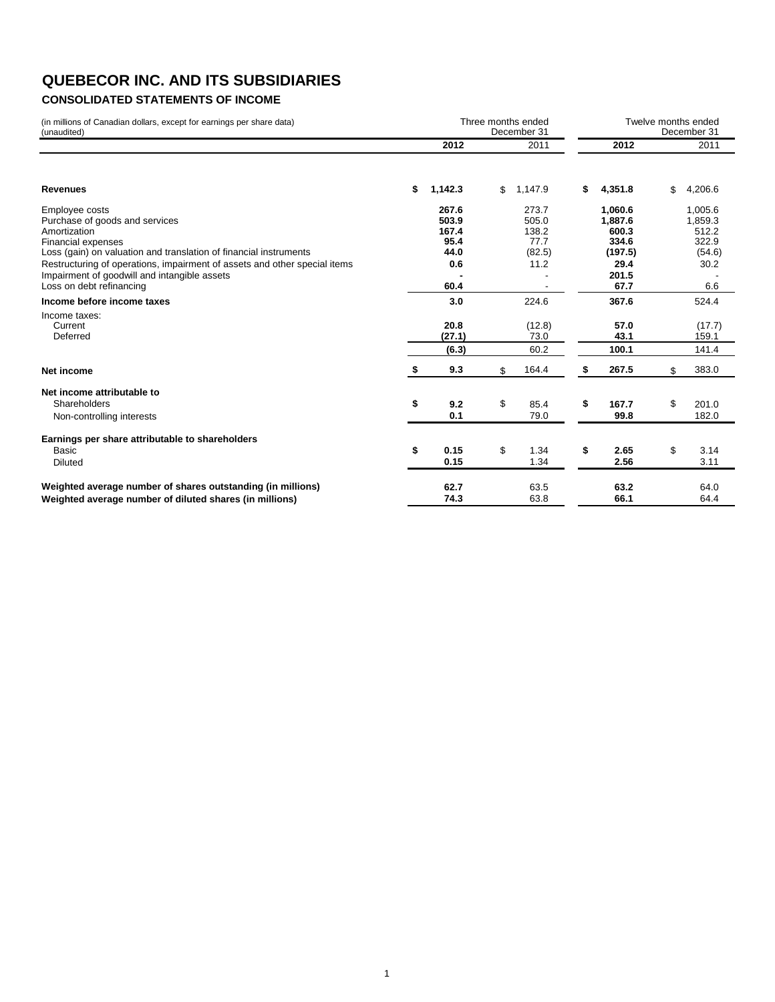## **QUEBECOR INC. AND ITS SUBSIDIARIES**

## **CONSOLIDATED STATEMENTS OF INCOME**

(in millions of Canadian dollars, except for earnings per share data) (unaudited)

| (unaudited)                                                                                                                                                                                                                                                                                                                 |                                                        |     | December 31                                       |                                                                          | December 31                                                   |
|-----------------------------------------------------------------------------------------------------------------------------------------------------------------------------------------------------------------------------------------------------------------------------------------------------------------------------|--------------------------------------------------------|-----|---------------------------------------------------|--------------------------------------------------------------------------|---------------------------------------------------------------|
|                                                                                                                                                                                                                                                                                                                             | 2012                                                   |     | 2011                                              | 2012                                                                     | 2011                                                          |
| <b>Revenues</b>                                                                                                                                                                                                                                                                                                             | \$<br>1,142.3                                          | \$  | 1,147.9                                           | \$<br>4,351.8                                                            | \$<br>4,206.6                                                 |
| Employee costs<br>Purchase of goods and services<br>Amortization<br><b>Financial expenses</b><br>Loss (gain) on valuation and translation of financial instruments<br>Restructuring of operations, impairment of assets and other special items<br>Impairment of goodwill and intangible assets<br>Loss on debt refinancing | 267.6<br>503.9<br>167.4<br>95.4<br>44.0<br>0.6<br>60.4 |     | 273.7<br>505.0<br>138.2<br>77.7<br>(82.5)<br>11.2 | 1,060.6<br>1.887.6<br>600.3<br>334.6<br>(197.5)<br>29.4<br>201.5<br>67.7 | 1,005.6<br>1,859.3<br>512.2<br>322.9<br>(54.6)<br>30.2<br>6.6 |
| Income before income taxes                                                                                                                                                                                                                                                                                                  | 3.0                                                    |     | 224.6                                             | 367.6                                                                    | 524.4                                                         |
| Income taxes:<br>Current<br>Deferred                                                                                                                                                                                                                                                                                        | 20.8<br>(27.1)                                         |     | (12.8)<br>73.0                                    | 57.0<br>43.1                                                             | (17.7)<br>159.1                                               |
|                                                                                                                                                                                                                                                                                                                             | (6.3)                                                  |     | 60.2                                              | 100.1                                                                    | 141.4                                                         |
| Net income                                                                                                                                                                                                                                                                                                                  | 9.3                                                    | \$. | 164.4                                             | \$<br>267.5                                                              | \$<br>383.0                                                   |
| Net income attributable to<br>Shareholders<br>Non-controlling interests                                                                                                                                                                                                                                                     | \$<br>9.2<br>0.1                                       | \$  | 85.4<br>79.0                                      | \$<br>167.7<br>99.8                                                      | \$<br>201.0<br>182.0                                          |
| Earnings per share attributable to shareholders<br><b>Basic</b><br><b>Diluted</b>                                                                                                                                                                                                                                           | \$<br>0.15<br>0.15                                     | \$  | 1.34<br>1.34                                      | \$<br>2.65<br>2.56                                                       | \$<br>3.14<br>3.11                                            |
| Weighted average number of shares outstanding (in millions)<br>Weighted average number of diluted shares (in millions)                                                                                                                                                                                                      | 62.7<br>74.3                                           |     | 63.5<br>63.8                                      | 63.2<br>66.1                                                             | 64.0<br>64.4                                                  |

Three months ended Twelve months ended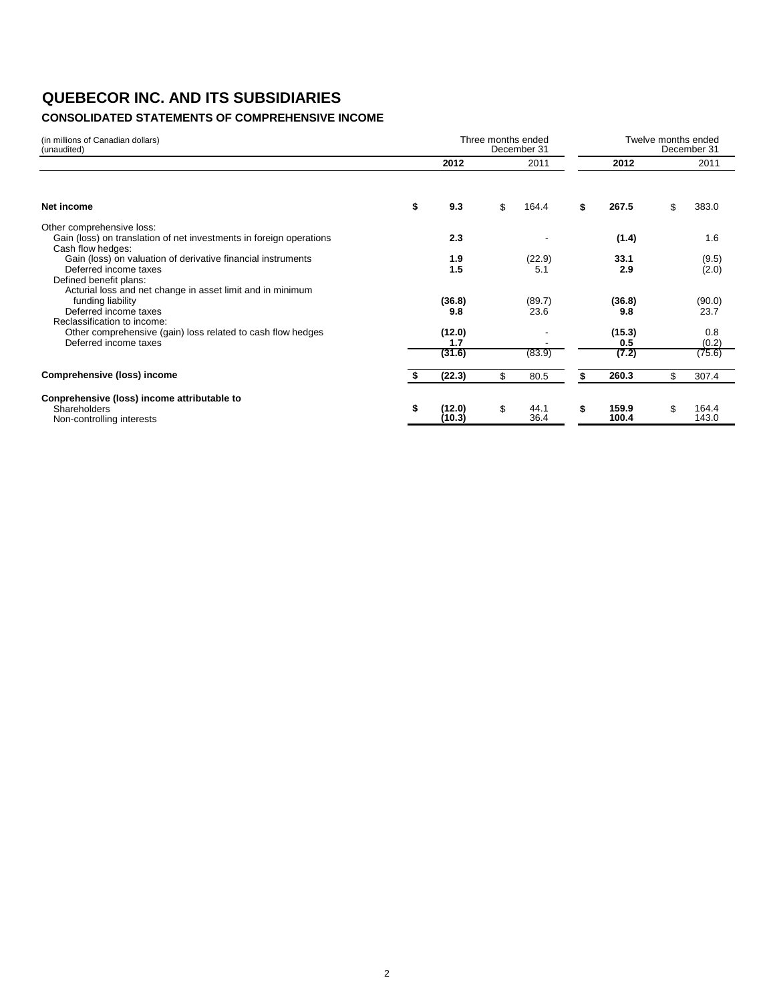## **QUEBECOR INC. AND ITS SUBSIDIARIES**

#### **CONSOLIDATED STATEMENTS OF COMPREHENSIVE INCOME**

| (in millions of Canadian dollars)<br>(unaudited)                                                                                                                              |                        | Three months ended<br>December 31 |                      | Twelve months ended<br>December 31 |
|-------------------------------------------------------------------------------------------------------------------------------------------------------------------------------|------------------------|-----------------------------------|----------------------|------------------------------------|
|                                                                                                                                                                               | 2012                   | 2011                              | 2012                 | 2011                               |
| Net income                                                                                                                                                                    | \$<br>9.3              | \$<br>164.4                       | \$<br>267.5          | \$<br>383.0                        |
| Other comprehensive loss:<br>Gain (loss) on translation of net investments in foreign operations<br>Cash flow hedges:                                                         | 2.3                    |                                   | (1.4)                | 1.6                                |
| Gain (loss) on valuation of derivative financial instruments<br>Deferred income taxes<br>Defined benefit plans:<br>Acturial loss and net change in asset limit and in minimum | 1.9<br>1.5             | (22.9)<br>5.1                     | 33.1<br>2.9          | (9.5)<br>(2.0)                     |
| funding liability<br>Deferred income taxes<br>Reclassification to income:                                                                                                     | (36.8)<br>9.8          | (89.7)<br>23.6                    | (36.8)<br>9.8        | (90.0)<br>23.7                     |
| Other comprehensive (gain) loss related to cash flow hedges<br>Deferred income taxes                                                                                          | (12.0)<br>1.7          |                                   | (15.3)<br>0.5        | 0.8<br>(0.2)                       |
| Comprehensive (loss) income                                                                                                                                                   | (31.6)<br>(22.3)       | \$<br>(83.9)<br>80.5              | (7.2)<br>260.3       | \$<br>(75.6)<br>307.4              |
| Conprehensive (loss) income attributable to<br><b>Shareholders</b><br>Non-controlling interests                                                                               | \$<br>(12.0)<br>(10.3) | \$<br>44.1<br>36.4                | \$<br>159.9<br>100.4 | \$<br>164.4<br>143.0               |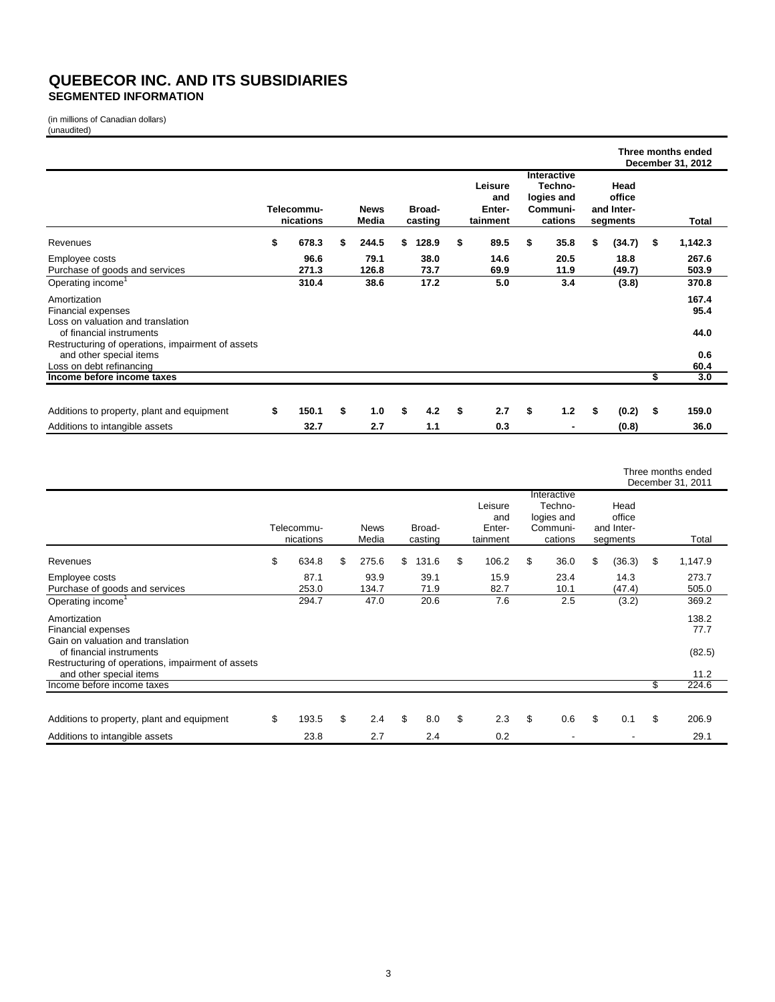#### **QUEBECOR INC. AND ITS SUBSIDIARIES SEGMENTED INFORMATION**

(in millions of Canadian dollars) (unaudited)

|                                                                                                                                      |                         |                      |                   |                                      |    |                                                                    |                                          |    | Three months ended<br>December 31, 2012 |
|--------------------------------------------------------------------------------------------------------------------------------------|-------------------------|----------------------|-------------------|--------------------------------------|----|--------------------------------------------------------------------|------------------------------------------|----|-----------------------------------------|
|                                                                                                                                      | Telecommu-<br>nications | <b>News</b><br>Media | Broad-<br>casting | Leisure<br>and<br>Enter-<br>tainment |    | <b>Interactive</b><br>Techno-<br>logies and<br>Communi-<br>cations | Head<br>office<br>and Inter-<br>segments |    | Total                                   |
| Revenues                                                                                                                             | \$<br>678.3             | \$<br>244.5          | \$<br>128.9       | \$<br>89.5                           | \$ | 35.8                                                               | \$<br>(34.7)                             | \$ | 1,142.3                                 |
| Employee costs<br>Purchase of goods and services                                                                                     | 96.6<br>271.3           | 79.1<br>126.8        | 38.0<br>73.7      | 14.6<br>69.9                         |    | 20.5<br>11.9                                                       | 18.8<br>(49.7)                           |    | 267.6<br>503.9                          |
| Operating income <sup>1</sup>                                                                                                        | 310.4                   | 38.6                 | 17.2              | 5.0                                  |    | 3.4                                                                | (3.8)                                    |    | 370.8                                   |
| Amortization<br>Financial expenses<br>Loss on valuation and translation                                                              |                         |                      |                   |                                      |    |                                                                    |                                          |    | 167.4<br>95.4                           |
| of financial instruments<br>Restructuring of operations, impairment of assets<br>and other special items<br>Loss on debt refinancing |                         |                      |                   |                                      |    |                                                                    |                                          |    | 44.0<br>0.6<br>60.4                     |
| Income before income taxes                                                                                                           |                         |                      |                   |                                      |    |                                                                    |                                          |    | 3.0                                     |
| Additions to property, plant and equipment                                                                                           | \$<br>150.1             | \$<br>1.0            | \$<br>4.2         | \$<br>2.7                            | S  | $1.2$                                                              | \$<br>(0.2)                              | S. | 159.0                                   |
| Additions to intangible assets                                                                                                       | 32.7                    | 2.7                  | 1.1               | 0.3                                  |    |                                                                    | (0.8)                                    |    | 36.0                                    |

|                                                                                                     |                         |                      |                   |                                      |    |                                                             |                                          |    | Three months ended<br>December 31, 2011 |
|-----------------------------------------------------------------------------------------------------|-------------------------|----------------------|-------------------|--------------------------------------|----|-------------------------------------------------------------|------------------------------------------|----|-----------------------------------------|
|                                                                                                     | Telecommu-<br>nications | <b>News</b><br>Media | Broad-<br>casting | Leisure<br>and<br>Enter-<br>tainment |    | Interactive<br>Techno-<br>logies and<br>Communi-<br>cations | Head<br>office<br>and Inter-<br>segments |    | Total                                   |
| Revenues                                                                                            | \$<br>634.8             | \$<br>275.6          | \$<br>131.6       | \$<br>106.2                          | S  | 36.0                                                        | \$<br>(36.3)                             | \$ | 1,147.9                                 |
| Employee costs<br>Purchase of goods and services                                                    | 87.1<br>253.0           | 93.9<br>134.7        | 39.1<br>71.9      | 15.9<br>82.7                         |    | 23.4<br>10.1                                                | 14.3<br>(47.4)                           |    | 273.7<br>505.0                          |
| Operating income                                                                                    | 294.7                   | 47.0                 | 20.6              | 7.6                                  |    | 2.5                                                         | (3.2)                                    |    | 369.2                                   |
| Amortization<br>Financial expenses<br>Gain on valuation and translation<br>of financial instruments |                         |                      |                   |                                      |    |                                                             |                                          |    | 138.2<br>77.7<br>(82.5)                 |
| Restructuring of operations, impairment of assets<br>and other special items                        |                         |                      |                   |                                      |    |                                                             |                                          |    | 11.2                                    |
| Income before income taxes                                                                          |                         |                      |                   |                                      |    |                                                             |                                          | S  | 224.6                                   |
| Additions to property, plant and equipment                                                          | \$<br>193.5             | \$<br>2.4            | \$<br>8.0         | \$<br>2.3                            | \$ | 0.6                                                         | \$<br>0.1                                | \$ | 206.9                                   |
| Additions to intangible assets                                                                      | 23.8                    | 2.7                  | 2.4               | 0.2                                  |    |                                                             |                                          |    | 29.1                                    |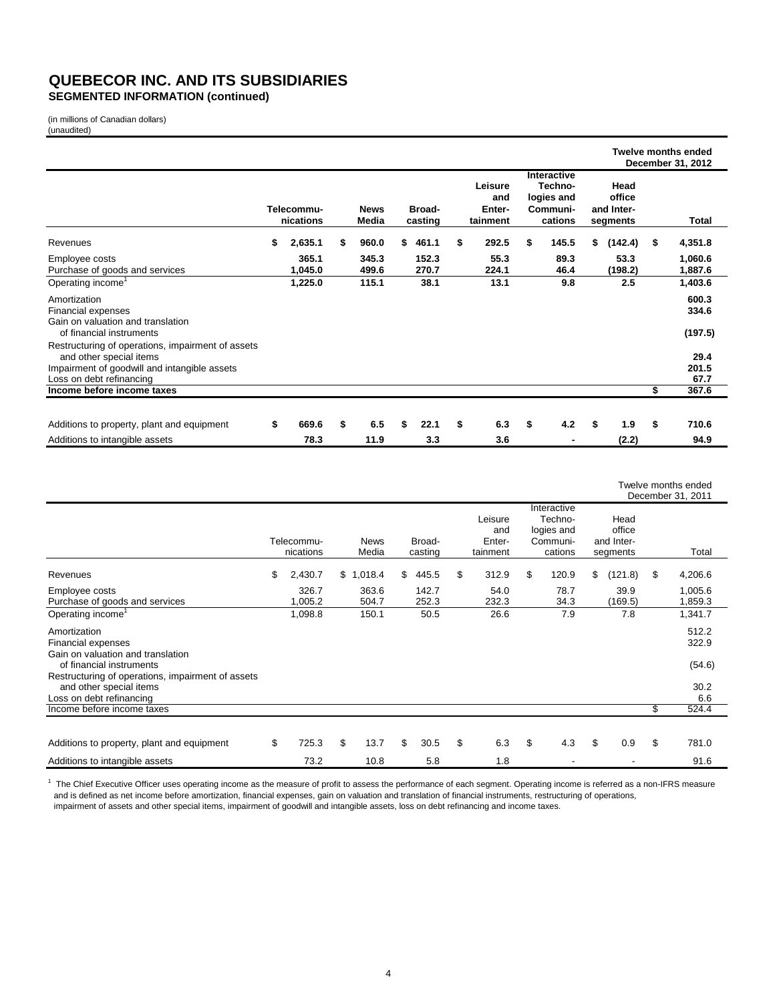#### **QUEBECOR INC. AND ITS SUBSIDIARIES SEGMENTED INFORMATION (continued)**

(in millions of Canadian dollars) (unaudited)

|                                                                                                                                                          |                         |                      |                   |    |                                      |    |                                                             |                                          |   | <b>Twelve months ended</b><br>December 31, 2012 |
|----------------------------------------------------------------------------------------------------------------------------------------------------------|-------------------------|----------------------|-------------------|----|--------------------------------------|----|-------------------------------------------------------------|------------------------------------------|---|-------------------------------------------------|
|                                                                                                                                                          | Telecommu-<br>nications | <b>News</b><br>Media | Broad-<br>casting |    | Leisure<br>and<br>Enter-<br>tainment |    | Interactive<br>Techno-<br>logies and<br>Communi-<br>cations | Head<br>office<br>and Inter-<br>segments |   | Total                                           |
| Revenues                                                                                                                                                 | \$<br>2,635.1           | \$<br>960.0          | \$<br>461.1       | S  | 292.5                                | S  | 145.5                                                       | \$<br>(142.4)                            | S | 4,351.8                                         |
| Employee costs<br>Purchase of goods and services                                                                                                         | 365.1<br>1,045.0        | 345.3<br>499.6       | 152.3<br>270.7    |    | 55.3<br>224.1                        |    | 89.3<br>46.4                                                | 53.3<br>(198.2)                          |   | 1,060.6<br>1,887.6                              |
| Operating income <sup>1</sup>                                                                                                                            | 1,225.0                 | 115.1                | 38.1              |    | 13.1                                 |    | 9.8                                                         | 2.5                                      |   | 1,403.6                                         |
| Amortization<br>Financial expenses<br>Gain on valuation and translation<br>of financial instruments                                                      |                         |                      |                   |    |                                      |    |                                                             |                                          |   | 600.3<br>334.6<br>(197.5)                       |
| Restructuring of operations, impairment of assets<br>and other special items<br>Impairment of goodwill and intangible assets<br>Loss on debt refinancing |                         |                      |                   |    |                                      |    |                                                             |                                          |   | 29.4<br>201.5<br>67.7                           |
| Income before income taxes                                                                                                                               |                         |                      |                   |    |                                      |    |                                                             |                                          |   | 367.6                                           |
| Additions to property, plant and equipment                                                                                                               | \$<br>669.6             | \$<br>6.5            | \$<br>22.1        | \$ | 6.3                                  | \$ | 4.2                                                         | \$<br>1.9                                | S | 710.6<br>94.9                                   |
| Additions to intangible assets                                                                                                                           | 78.3                    | 11.9                 | 3.3               |    | 3.6                                  |    |                                                             | (2.2)                                    |   |                                                 |

Twelve months ended

|                                                                               |                         |                      |                   |                                      |                                                             |                                          |    | December 31, 2011  |
|-------------------------------------------------------------------------------|-------------------------|----------------------|-------------------|--------------------------------------|-------------------------------------------------------------|------------------------------------------|----|--------------------|
|                                                                               | Telecommu-<br>nications | <b>News</b><br>Media | Broad-<br>casting | Leisure<br>and<br>Enter-<br>tainment | Interactive<br>Techno-<br>logies and<br>Communi-<br>cations | Head<br>office<br>and Inter-<br>segments |    | Total              |
| Revenues                                                                      | \$<br>2,430.7           | \$1,018.4            | \$<br>445.5       | \$<br>312.9                          | \$<br>120.9                                                 | \$<br>(121.8)                            | S  | 4,206.6            |
| Employee costs<br>Purchase of goods and services                              | 326.7<br>1,005.2        | 363.6<br>504.7       | 142.7<br>252.3    | 54.0<br>232.3                        | 78.7<br>34.3                                                | 39.9<br>(169.5)                          |    | 1,005.6<br>1,859.3 |
| Operating income <sup>1</sup>                                                 | 1,098.8                 | 150.1                | 50.5              | 26.6                                 | 7.9                                                         | 7.8                                      |    | 1,341.7            |
| Amortization<br>Financial expenses<br>Gain on valuation and translation       |                         |                      |                   |                                      |                                                             |                                          |    | 512.2<br>322.9     |
| of financial instruments<br>Restructuring of operations, impairment of assets |                         |                      |                   |                                      |                                                             |                                          |    | (54.6)             |
| and other special items<br>Loss on debt refinancing                           |                         |                      |                   |                                      |                                                             |                                          |    | 30.2<br>6.6        |
| Income before income taxes                                                    |                         |                      |                   |                                      |                                                             |                                          | \$ | 524.4              |
| Additions to property, plant and equipment                                    | \$<br>725.3             | \$<br>13.7           | \$<br>30.5        | \$<br>6.3                            | \$<br>4.3                                                   | \$<br>0.9                                | \$ | 781.0              |
| Additions to intangible assets                                                | 73.2                    | 10.8                 | 5.8               | 1.8                                  |                                                             |                                          |    | 91.6               |

and is defined as net income before amortization, financial expenses, gain on valuation and translation of financial instruments, restructuring of operations, impairment of assets and other special items, impairment of goodwill and intangible assets, loss on debt refinancing and income taxes. <sup>1</sup> The Chief Executive Officer uses operating income as the measure of profit to assess the performance of each segment. Operating income is referred as a non-IFRS measure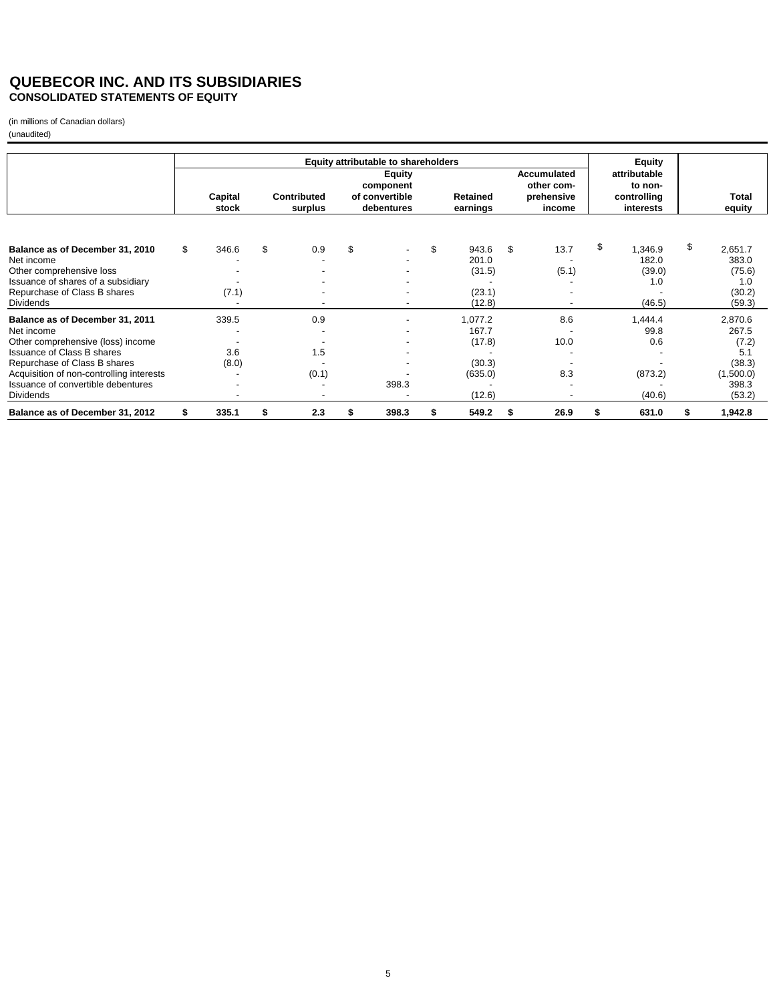#### **QUEBECOR INC. AND ITS SUBSIDIARIES CONSOLIDATED STATEMENTS OF EQUITY**

(in millions of Canadian dollars) (unaudited)

|                                               |             |                    | Equity attributable to shareholders          |                 |    |                                                | Equity                                 |                  |
|-----------------------------------------------|-------------|--------------------|----------------------------------------------|-----------------|----|------------------------------------------------|----------------------------------------|------------------|
|                                               | Capital     | <b>Contributed</b> | <b>Equity</b><br>component<br>of convertible | <b>Retained</b> |    | <b>Accumulated</b><br>other com-<br>prehensive | attributable<br>to non-<br>controlling | Total            |
|                                               | stock       | surplus            | debentures                                   | earnings        |    | income                                         | interests                              | equity           |
|                                               |             |                    |                                              |                 |    |                                                | \$                                     | \$               |
| Balance as of December 31, 2010<br>Net income | \$<br>346.6 | \$<br>0.9          | \$                                           | 943.6<br>201.0  | \$ | 13.7                                           | 1,346.9<br>182.0                       | 2,651.7<br>383.0 |
| Other comprehensive loss                      |             |                    |                                              | (31.5)          |    | (5.1)                                          | (39.0)                                 | (75.6)           |
| Issuance of shares of a subsidiary            |             |                    |                                              |                 |    |                                                | 1.0                                    | 1.0              |
| Repurchase of Class B shares                  | (7.1)       |                    |                                              | (23.1)          |    |                                                |                                        | (30.2)           |
| Dividends                                     |             |                    |                                              | (12.8)          |    | $\overline{\phantom{a}}$                       | (46.5)                                 | (59.3)           |
| Balance as of December 31, 2011               | 339.5       | 0.9                |                                              | 1,077.2         |    | 8.6                                            | 1,444.4                                | 2,870.6          |
| Net income                                    |             |                    |                                              | 167.7           |    |                                                | 99.8                                   | 267.5            |
| Other comprehensive (loss) income             |             |                    |                                              | (17.8)          |    | 10.0                                           | 0.6                                    | (7.2)            |
| <b>Issuance of Class B shares</b>             | 3.6         | 1.5                |                                              |                 |    |                                                |                                        | 5.1              |
| Repurchase of Class B shares                  | (8.0)       |                    |                                              | (30.3)          |    |                                                |                                        | (38.3)           |
| Acquisition of non-controlling interests      |             | (0.1)              |                                              | (635.0)         |    | 8.3                                            | (873.2)                                | (1,500.0)        |
| Issuance of convertible debentures            |             |                    | 398.3                                        |                 |    |                                                |                                        | 398.3            |
| <b>Dividends</b>                              |             |                    |                                              | (12.6)          |    | $\blacksquare$                                 | (40.6)                                 | (53.2)           |
| Balance as of December 31, 2012               | 335.1       | 2.3                | 398.3                                        | 549.2           | S  | 26.9                                           | 631.0                                  | 1,942.8          |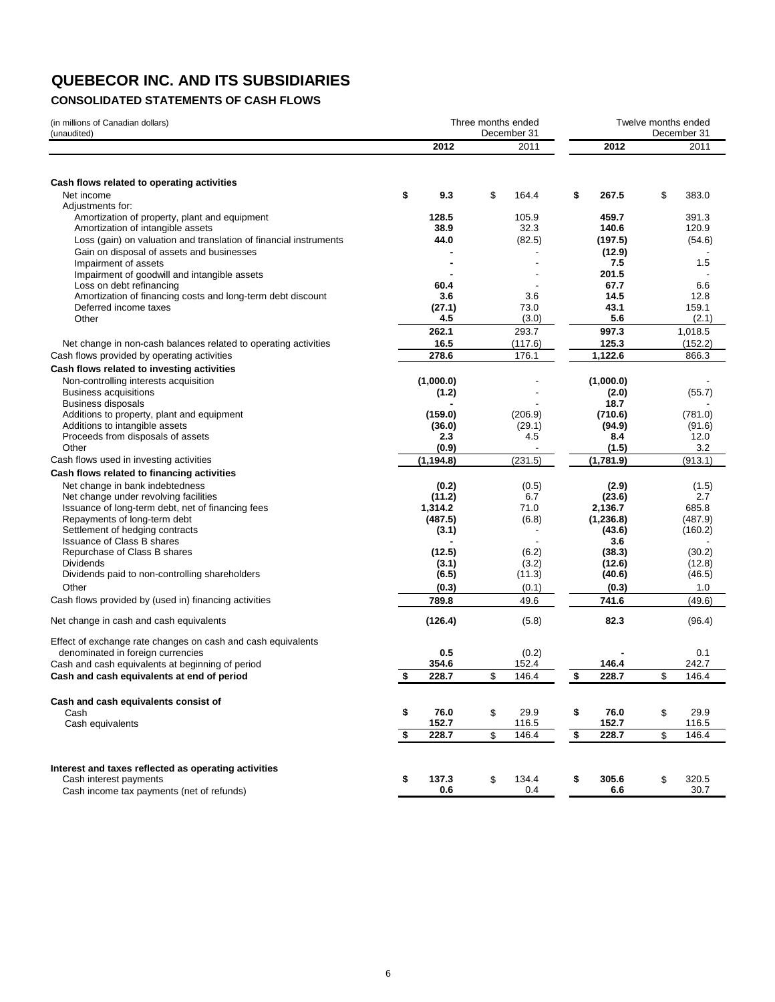# **QUEBECOR INC. AND ITS SUBSIDIARIES**

## **CONSOLIDATED STATEMENTS OF CASH FLOWS**

| (in millions of Canadian dollars)<br>(unaudited)                      |                    | Three months ended<br>December 31 |                                  | Twelve months ended<br>December 31 |
|-----------------------------------------------------------------------|--------------------|-----------------------------------|----------------------------------|------------------------------------|
|                                                                       | 2012               | 2011                              | 2012                             | 2011                               |
|                                                                       |                    |                                   |                                  |                                    |
| Cash flows related to operating activities<br>Net income              | \$<br>9.3          | 164.4                             | 267.5                            | 383.0                              |
| Adjustments for:                                                      |                    | \$                                | \$                               | \$                                 |
| Amortization of property, plant and equipment                         | 128.5              | 105.9                             | 459.7                            | 391.3                              |
| Amortization of intangible assets                                     | 38.9               | 32.3                              | 140.6                            | 120.9                              |
| Loss (gain) on valuation and translation of financial instruments     | 44.0               | (82.5)                            | (197.5)                          | (54.6)                             |
| Gain on disposal of assets and businesses                             |                    |                                   | (12.9)                           |                                    |
| Impairment of assets                                                  |                    |                                   | 7.5                              | 1.5                                |
| Impairment of goodwill and intangible assets                          |                    |                                   | 201.5                            |                                    |
| Loss on debt refinancing                                              | 60.4               |                                   | 67.7                             | 6.6                                |
| Amortization of financing costs and long-term debt discount           | 3.6                | 3.6                               | 14.5                             | 12.8                               |
| Deferred income taxes<br>Other                                        | (27.1)<br>4.5      | 73.0                              | 43.1<br>5.6                      | 159.1                              |
|                                                                       |                    | (3.0)                             |                                  | (2.1)                              |
|                                                                       | 262.1<br>16.5      | 293.7                             | 997.3<br>125.3                   | 1,018.5<br>(152.2)                 |
| Net change in non-cash balances related to operating activities       |                    | (117.6)                           |                                  |                                    |
| Cash flows provided by operating activities                           | 278.6              | 176.1                             | 1,122.6                          | 866.3                              |
| Cash flows related to investing activities                            |                    |                                   |                                  |                                    |
| Non-controlling interests acquisition<br><b>Business acquisitions</b> | (1,000.0)<br>(1.2) |                                   | (1,000.0)                        | (55.7)                             |
| <b>Business disposals</b>                                             |                    |                                   | (2.0)<br>18.7                    |                                    |
| Additions to property, plant and equipment                            | (159.0)            | (206.9)                           | (710.6)                          | (781.0)                            |
| Additions to intangible assets                                        | (36.0)             | (29.1)                            | (94.9)                           | (91.6)                             |
| Proceeds from disposals of assets                                     | 2.3                | 4.5                               | 8.4                              | 12.0                               |
| Other                                                                 | (0.9)              |                                   | (1.5)                            | 3.2                                |
| Cash flows used in investing activities                               | (1, 194.8)         | (231.5)                           | (1,781.9)                        | (913.1)                            |
| Cash flows related to financing activities                            |                    |                                   |                                  |                                    |
| Net change in bank indebtedness                                       | (0.2)              | (0.5)                             | (2.9)                            | (1.5)                              |
| Net change under revolving facilities                                 | (11.2)             | 6.7                               | (23.6)                           | 2.7                                |
| Issuance of long-term debt, net of financing fees                     | 1,314.2            | 71.0                              | 2,136.7                          | 685.8                              |
| Repayments of long-term debt                                          | (487.5)            | (6.8)                             | (1, 236.8)                       | (487.9)                            |
| Settlement of hedging contracts                                       | (3.1)              |                                   | (43.6)                           | (160.2)                            |
| <b>Issuance of Class B shares</b><br>Repurchase of Class B shares     | (12.5)             | (6.2)                             | 3.6<br>(38.3)                    | (30.2)                             |
| <b>Dividends</b>                                                      | (3.1)              | (3.2)                             | (12.6)                           | (12.8)                             |
| Dividends paid to non-controlling shareholders                        | (6.5)              | (11.3)                            | (40.6)                           | (46.5)                             |
| Other                                                                 | (0.3)              | (0.1)                             | (0.3)                            | 1.0                                |
| Cash flows provided by (used in) financing activities                 | 789.8              | 49.6                              | 741.6                            | (49.6)                             |
|                                                                       |                    |                                   |                                  |                                    |
| Net change in cash and cash equivalents                               | (126.4)            | (5.8)                             | 82.3                             | (96.4)                             |
| Effect of exchange rate changes on cash and cash equivalents          |                    |                                   |                                  |                                    |
| denominated in foreign currencies                                     | 0.5                | (0.2)                             |                                  | 0.1                                |
| Cash and cash equivalents at beginning of period                      | 354.6              | 152.4                             | 146.4                            | 242.7                              |
| Cash and cash equivalents at end of period                            | \$<br>228.7        | 146.4<br>\$                       | \$<br>228.7                      | \$<br>146.4                        |
|                                                                       |                    |                                   |                                  |                                    |
| Cash and cash equivalents consist of<br>Cash                          | \$<br>76.0         | \$<br>29.9                        | \$<br>76.0                       | \$<br>29.9                         |
| Cash equivalents                                                      | 152.7              | 116.5                             | 152.7                            | 116.5                              |
|                                                                       | 228.7<br>\$        | \$<br>146.4                       | $\overline{\mathbf{S}}$<br>228.7 | \$<br>146.4                        |
|                                                                       |                    |                                   |                                  |                                    |
| Interest and taxes reflected as operating activities                  |                    |                                   |                                  |                                    |
| Cash interest payments                                                | \$<br>137.3        | \$<br>134.4                       | \$<br>305.6                      | 320.5<br>\$                        |
| Cash income tax payments (net of refunds)                             | 0.6                | 0.4                               | 6.6                              | 30.7                               |